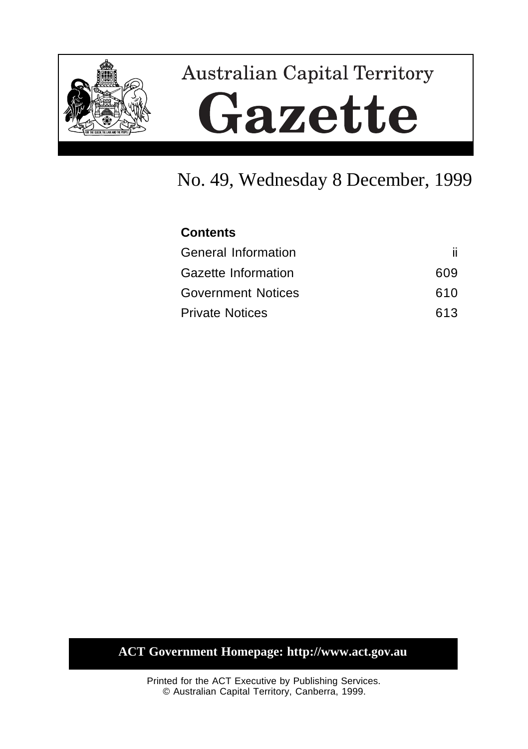

# **Australian Capital Territory** Gazette

## No. 49, Wednesday 8 December, 1999

| <b>Contents</b>            |     |
|----------------------------|-----|
| <b>General Information</b> | ii. |
| <b>Gazette Information</b> | 609 |
| <b>Government Notices</b>  | 610 |
| <b>Private Notices</b>     | 613 |

### **ACT Government Homepage: http://www.act.gov.au**

Printed for the ACT Executive by Publishing Services. © Australian Capital Territory, Canberra, 1999.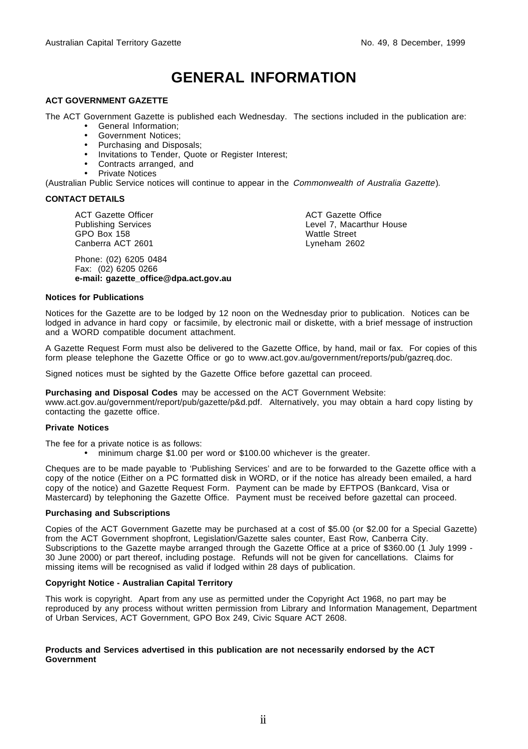### **GENERAL INFORMATION**

#### **ACT GOVERNMENT GAZETTE**

The ACT Government Gazette is published each Wednesday. The sections included in the publication are:

- General Information;
- Government Notices;
- Purchasing and Disposals;
- Invitations to Tender, Quote or Register Interest;
- Contracts arranged, and
- Private Notices

(Australian Public Service notices will continue to appear in the Commonwealth of Australia Gazette).

#### **CONTACT DETAILS**

ACT Gazette Officer Publishing Services GPO Box 158 Canberra ACT 2601

Phone: (02) 6205 0484 Fax: (02) 6205 0266 **e-mail: gazette\_office@dpa.act.gov.au** ACT Gazette Office Level 7, Macarthur House Wattle Street Lyneham 2602

#### **Notices for Publications**

Notices for the Gazette are to be lodged by 12 noon on the Wednesday prior to publication. Notices can be lodged in advance in hard copy or facsimile, by electronic mail or diskette, with a brief message of instruction and a WORD compatible document attachment.

A Gazette Request Form must also be delivered to the Gazette Office, by hand, mail or fax. For copies of this form please telephone the Gazette Office or go to www.act.gov.au/government/reports/pub/gazreq.doc.

Signed notices must be sighted by the Gazette Office before gazettal can proceed.

**Purchasing and Disposal Codes** may be accessed on the ACT Government Website:

www.act.gov.au/government/report/pub/gazette/p&d.pdf. Alternatively, you may obtain a hard copy listing by contacting the gazette office.

#### **Private Notices**

The fee for a private notice is as follows:

• minimum charge \$1.00 per word or \$100.00 whichever is the greater.

Cheques are to be made payable to 'Publishing Services' and are to be forwarded to the Gazette office with a copy of the notice (Either on a PC formatted disk in WORD, or if the notice has already been emailed, a hard copy of the notice) and Gazette Request Form. Payment can be made by EFTPOS (Bankcard, Visa or Mastercard) by telephoning the Gazette Office. Payment must be received before gazettal can proceed.

#### **Purchasing and Subscriptions**

Copies of the ACT Government Gazette may be purchased at a cost of \$5.00 (or \$2.00 for a Special Gazette) from the ACT Government shopfront, Legislation/Gazette sales counter, East Row, Canberra City. Subscriptions to the Gazette maybe arranged through the Gazette Office at a price of \$360.00 (1 July 1999 -30 June 2000) or part thereof, including postage. Refunds will not be given for cancellations. Claims for missing items will be recognised as valid if lodged within 28 days of publication.

#### **Copyright Notice - Australian Capital Territory**

This work is copyright. Apart from any use as permitted under the Copyright Act 1968, no part may be reproduced by any process without written permission from Library and Information Management, Department of Urban Services, ACT Government, GPO Box 249, Civic Square ACT 2608.

#### **Products and Services advertised in this publication are not necessarily endorsed by the ACT Government**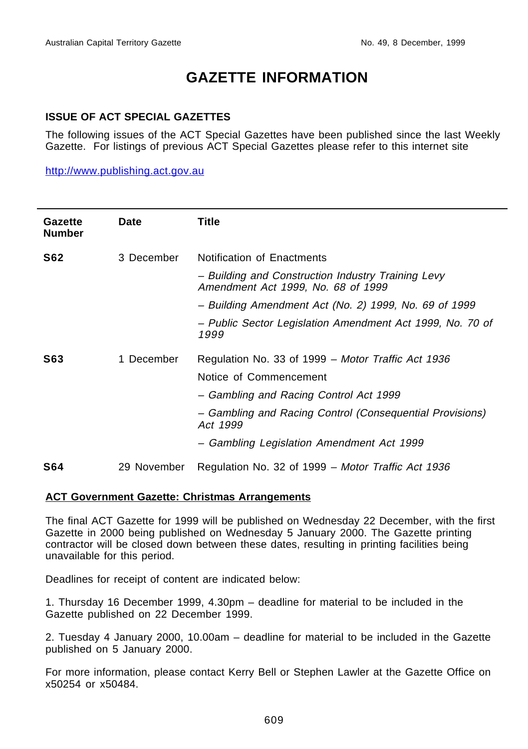### **GAZETTE INFORMATION**

### **ISSUE OF ACT SPECIAL GAZETTES**

The following issues of the ACT Special Gazettes have been published since the last Weekly Gazette. For listings of previous ACT Special Gazettes please refer to this internet site

http://www.publishing.act.gov.au

| Gazette<br><b>Number</b> | <b>Date</b> | Title                                                                                                                                                                                                                                       |
|--------------------------|-------------|---------------------------------------------------------------------------------------------------------------------------------------------------------------------------------------------------------------------------------------------|
| <b>S62</b>               | 3 December  | Notification of Enactments<br>- Building and Construction Industry Training Levy<br>Amendment Act 1999, No. 68 of 1999                                                                                                                      |
|                          |             | - Building Amendment Act (No. 2) 1999, No. 69 of 1999                                                                                                                                                                                       |
|                          |             | - Public Sector Legislation Amendment Act 1999, No. 70 of<br>1999                                                                                                                                                                           |
| S63                      | 1 December  | Regulation No. 33 of 1999 - Motor Traffic Act 1936<br>Notice of Commencement<br>- Gambling and Racing Control Act 1999<br>- Gambling and Racing Control (Consequential Provisions)<br>Act 1999<br>- Gambling Legislation Amendment Act 1999 |
| <b>S64</b>               | 29 November | Regulation No. 32 of 1999 - Motor Traffic Act 1936                                                                                                                                                                                          |

#### **ACT Government Gazette: Christmas Arrangements**

The final ACT Gazette for 1999 will be published on Wednesday 22 December, with the first Gazette in 2000 being published on Wednesday 5 January 2000. The Gazette printing contractor will be closed down between these dates, resulting in printing facilities being unavailable for this period.

Deadlines for receipt of content are indicated below:

1. Thursday 16 December 1999, 4.30pm – deadline for material to be included in the Gazette published on 22 December 1999.

2. Tuesday 4 January 2000, 10.00am – deadline for material to be included in the Gazette published on 5 January 2000.

For more information, please contact Kerry Bell or Stephen Lawler at the Gazette Office on x50254 or x50484.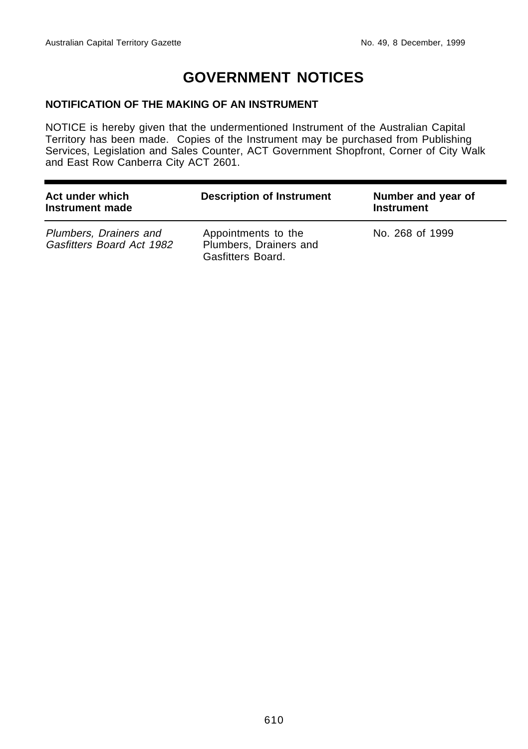### **GOVERNMENT NOTICES**

### **NOTIFICATION OF THE MAKING OF AN INSTRUMENT**

NOTICE is hereby given that the undermentioned Instrument of the Australian Capital Territory has been made. Copies of the Instrument may be purchased from Publishing Services, Legislation and Sales Counter, ACT Government Shopfront, Corner of City Walk and East Row Canberra City ACT 2601.

| Act under which<br>Instrument made                  | <b>Description of Instrument</b>                                   | Number and year of<br><b>Instrument</b> |
|-----------------------------------------------------|--------------------------------------------------------------------|-----------------------------------------|
| Plumbers, Drainers and<br>Gasfitters Board Act 1982 | Appointments to the<br>Plumbers, Drainers and<br>Gasfitters Board. | No. 268 of 1999                         |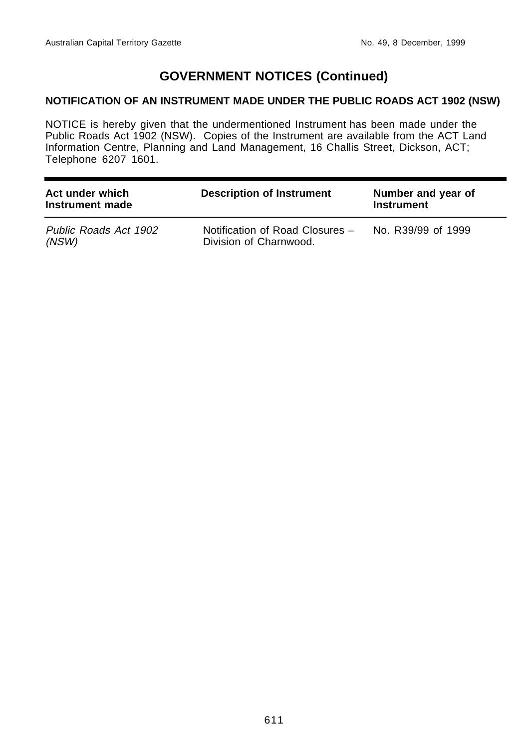### **GOVERNMENT NOTICES (Continued)**

### **NOTIFICATION OF AN INSTRUMENT MADE UNDER THE PUBLIC ROADS ACT 1902 (NSW)**

NOTICE is hereby given that the undermentioned Instrument has been made under the Public Roads Act 1902 (NSW). Copies of the Instrument are available from the ACT Land Information Centre, Planning and Land Management, 16 Challis Street, Dickson, ACT; Telephone 6207 1601.

| Act under which<br>Instrument made | <b>Description of Instrument</b>                          | Number and year of<br><b>Instrument</b> |
|------------------------------------|-----------------------------------------------------------|-----------------------------------------|
| Public Roads Act 1902<br>(NSW)     | Notification of Road Closures -<br>Division of Charnwood. | No. R39/99 of 1999                      |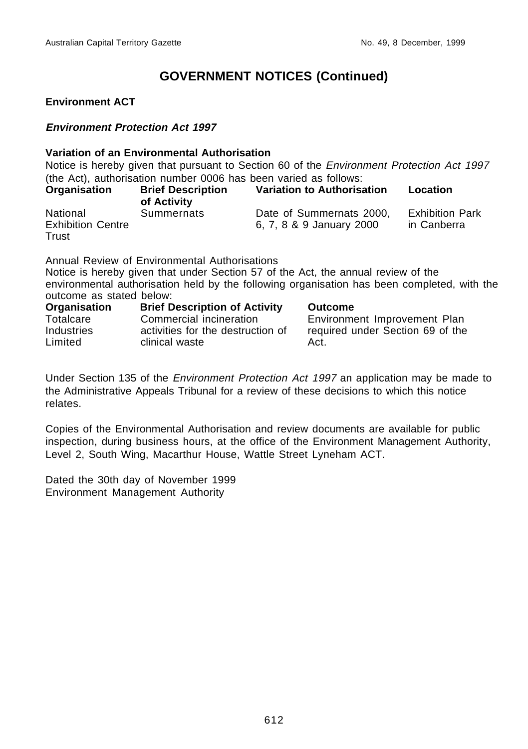### **GOVERNMENT NOTICES (Continued)**

### **Environment ACT**

### **Environment Protection Act 1997**

### **Variation of an Environmental Authorisation**

Notice is hereby given that pursuant to Section 60 of the *Environment Protection Act 1997* (the Act), authorisation number 0006 has been varied as follows:

| Organisation                                  | <b>Brief Description</b><br>of Activity | Variation to Authorisation                           | Location                              |
|-----------------------------------------------|-----------------------------------------|------------------------------------------------------|---------------------------------------|
| National<br><b>Exhibition Centre</b><br>Trust | Summernats                              | Date of Summernats 2000,<br>6, 7, 8 & 9 January 2000 | <b>Exhibition Park</b><br>in Canberra |

Annual Review of Environmental Authorisations

Notice is hereby given that under Section 57 of the Act, the annual review of the environmental authorisation held by the following organisation has been completed, with the outcome as stated below:

| Organisation          | <b>Brief Description of Activity</b>                | <b>Outcome</b>                           |
|-----------------------|-----------------------------------------------------|------------------------------------------|
| Totalcare             | Commercial incineration                             | Environment Improvement Plan             |
| Industries<br>Limited | activities for the destruction of<br>clinical waste | required under Section 69 of the<br>Act. |

Under Section 135 of the *Environment Protection Act 1997* an application may be made to the Administrative Appeals Tribunal for a review of these decisions to which this notice relates.

Copies of the Environmental Authorisation and review documents are available for public inspection, during business hours, at the office of the Environment Management Authority, Level 2, South Wing, Macarthur House, Wattle Street Lyneham ACT.

Dated the 30th day of November 1999 Environment Management Authority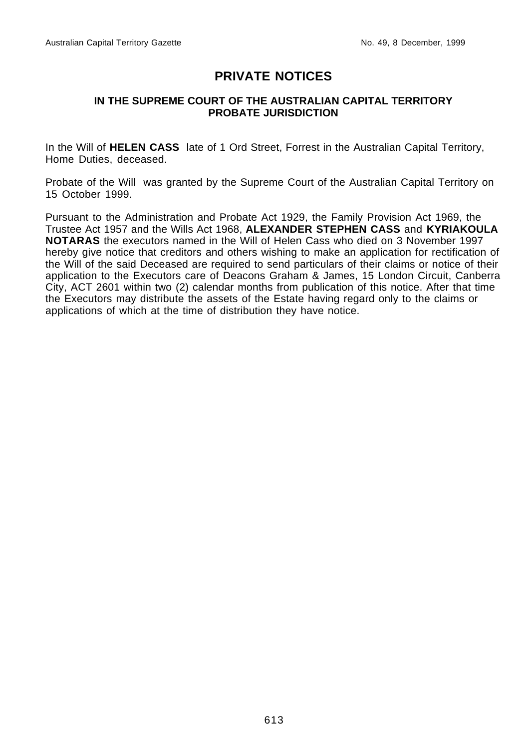### **PRIVATE NOTICES**

### **IN THE SUPREME COURT OF THE AUSTRALIAN CAPITAL TERRITORY PROBATE JURISDICTION**

In the Will of **HELEN CASS** late of 1 Ord Street, Forrest in the Australian Capital Territory, Home Duties, deceased.

Probate of the Will was granted by the Supreme Court of the Australian Capital Territory on 15 October 1999.

Pursuant to the Administration and Probate Act 1929, the Family Provision Act 1969, the Trustee Act 1957 and the Wills Act 1968, **ALEXANDER STEPHEN CASS** and **KYRIAKOULA NOTARAS** the executors named in the Will of Helen Cass who died on 3 November 1997 hereby give notice that creditors and others wishing to make an application for rectification of the Will of the said Deceased are required to send particulars of their claims or notice of their application to the Executors care of Deacons Graham & James, 15 London Circuit, Canberra City, ACT 2601 within two (2) calendar months from publication of this notice. After that time the Executors may distribute the assets of the Estate having regard only to the claims or applications of which at the time of distribution they have notice.